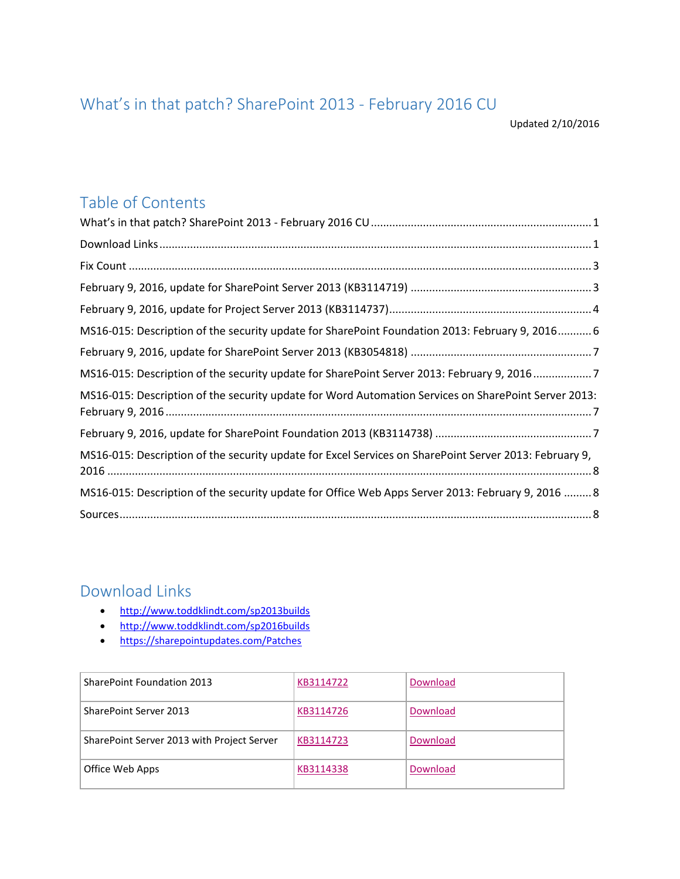## <span id="page-0-0"></span>What's in that patch? SharePoint 2013 - February 2016 CU

Updated 2/10/2016

### Table of Contents

| MS16-015: Description of the security update for SharePoint Foundation 2013: February 9, 2016 6        |
|--------------------------------------------------------------------------------------------------------|
|                                                                                                        |
| MS16-015: Description of the security update for SharePoint Server 2013: February 9, 20167             |
| MS16-015: Description of the security update for Word Automation Services on SharePoint Server 2013:   |
|                                                                                                        |
| MS16-015: Description of the security update for Excel Services on SharePoint Server 2013: February 9, |
| MS16-015: Description of the security update for Office Web Apps Server 2013: February 9, 2016  8      |
|                                                                                                        |

### <span id="page-0-1"></span>Download Links

- <http://www.toddklindt.com/sp2013builds>
- <http://www.toddklindt.com/sp2016builds>
- <https://sharepointupdates.com/Patches>

| <b>SharePoint Foundation 2013</b>          | KB3114722 | Download |
|--------------------------------------------|-----------|----------|
| SharePoint Server 2013                     | KB3114726 | Download |
| SharePoint Server 2013 with Project Server | KB3114723 | Download |
| Office Web Apps                            | KB3114338 | Download |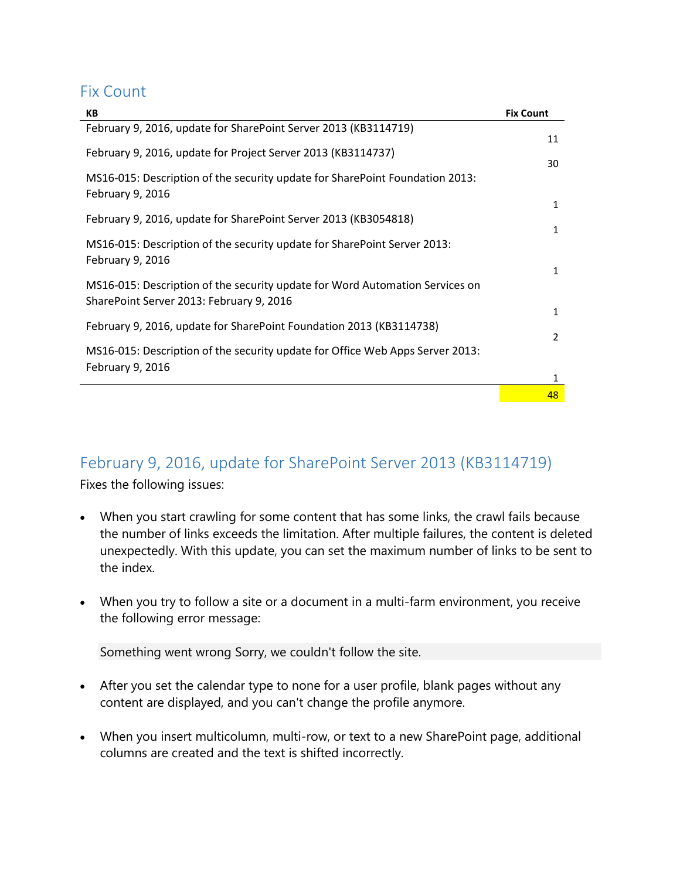#### <span id="page-2-0"></span>Fix Count

| KB                                                                                                                       | <b>Fix Count</b>             |
|--------------------------------------------------------------------------------------------------------------------------|------------------------------|
| February 9, 2016, update for SharePoint Server 2013 (KB3114719)                                                          | 11                           |
| February 9, 2016, update for Project Server 2013 (KB3114737)                                                             |                              |
| MS16-015: Description of the security update for SharePoint Foundation 2013:<br>February 9, 2016                         | 30                           |
| February 9, 2016, update for SharePoint Server 2013 (KB3054818)                                                          | $\mathbf{1}$                 |
| MS16-015: Description of the security update for SharePoint Server 2013:<br>February 9, 2016                             | $\mathbf{1}$<br>$\mathbf{1}$ |
| MS16-015: Description of the security update for Word Automation Services on<br>SharePoint Server 2013: February 9, 2016 | $\mathbf{1}$                 |
| February 9, 2016, update for SharePoint Foundation 2013 (KB3114738)                                                      |                              |
| MS16-015: Description of the security update for Office Web Apps Server 2013:<br>February 9, 2016                        | 2                            |
|                                                                                                                          | 1                            |
|                                                                                                                          | 48                           |

### <span id="page-2-1"></span>February 9, 2016, update for SharePoint Server 2013 (KB3114719)

Fixes the following issues:

- When you start crawling for some content that has some links, the crawl fails because the number of links exceeds the limitation. After multiple failures, the content is deleted unexpectedly. With this update, you can set the maximum number of links to be sent to the index.
- When you try to follow a site or a document in a multi-farm environment, you receive the following error message:

Something went wrong Sorry, we couldn't follow the site.

- After you set the calendar type to none for a user profile, blank pages without any content are displayed, and you can't change the profile anymore.
- When you insert multicolumn, multi-row, or text to a new SharePoint page, additional columns are created and the text is shifted incorrectly.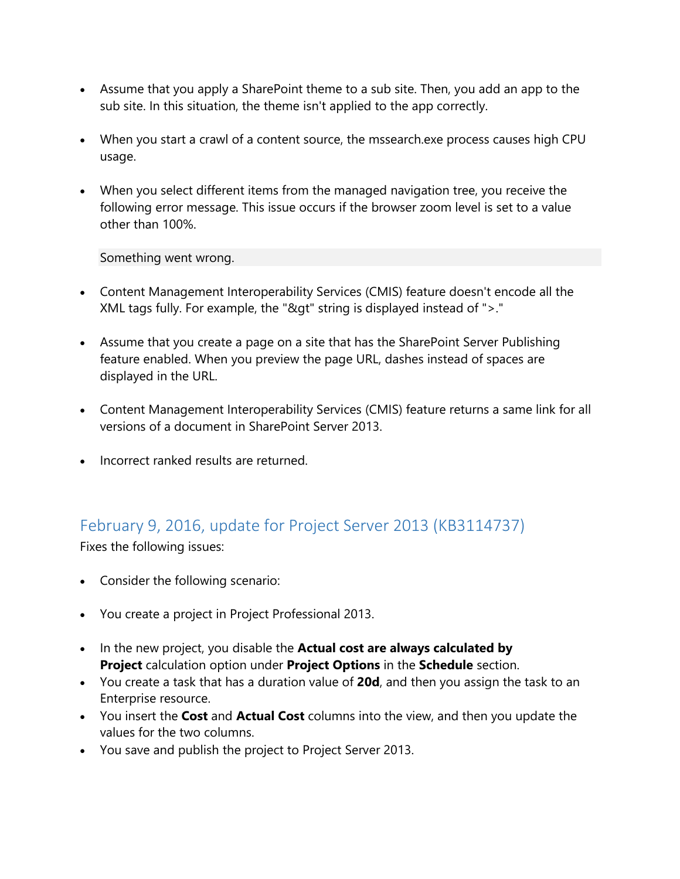- Assume that you apply a SharePoint theme to a sub site. Then, you add an app to the sub site. In this situation, the theme isn't applied to the app correctly.
- When you start a crawl of a content source, the mssearch.exe process causes high CPU usage.
- When you select different items from the managed navigation tree, you receive the following error message. This issue occurs if the browser zoom level is set to a value other than 100%.

Something went wrong.

- Content Management Interoperability Services (CMIS) feature doesn't encode all the XML tags fully. For example, the "&gt" string is displayed instead of ">."
- Assume that you create a page on a site that has the SharePoint Server Publishing feature enabled. When you preview the page URL, dashes instead of spaces are displayed in the URL.
- Content Management Interoperability Services (CMIS) feature returns a same link for all versions of a document in SharePoint Server 2013.
- Incorrect ranked results are returned.

### <span id="page-3-0"></span>February 9, 2016, update for Project Server 2013 (KB3114737)

Fixes the following issues:

- Consider the following scenario:
- You create a project in Project Professional 2013.
- In the new project, you disable the **Actual cost are always calculated by Project** calculation option under **Project Options** in the **Schedule** section.
- You create a task that has a duration value of **20d**, and then you assign the task to an Enterprise resource.
- You insert the **Cost** and **Actual Cost** columns into the view, and then you update the values for the two columns.
- You save and publish the project to Project Server 2013.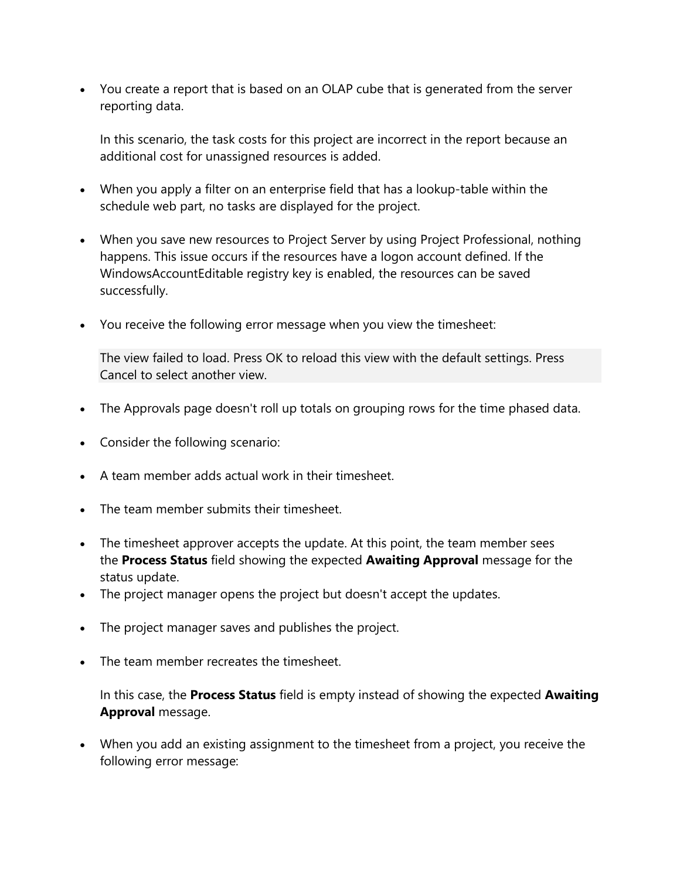You create a report that is based on an OLAP cube that is generated from the server reporting data.

In this scenario, the task costs for this project are incorrect in the report because an additional cost for unassigned resources is added.

- When you apply a filter on an enterprise field that has a lookup-table within the schedule web part, no tasks are displayed for the project.
- When you save new resources to Project Server by using Project Professional, nothing happens. This issue occurs if the resources have a logon account defined. If the WindowsAccountEditable registry key is enabled, the resources can be saved successfully.
- You receive the following error message when you view the timesheet:

The view failed to load. Press OK to reload this view with the default settings. Press Cancel to select another view.

- The Approvals page doesn't roll up totals on grouping rows for the time phased data.
- Consider the following scenario:
- A team member adds actual work in their timesheet.
- The team member submits their timesheet.
- The timesheet approver accepts the update. At this point, the team member sees the **Process Status** field showing the expected **Awaiting Approval** message for the status update.
- The project manager opens the project but doesn't accept the updates.
- The project manager saves and publishes the project.
- The team member recreates the timesheet.

In this case, the **Process Status** field is empty instead of showing the expected **Awaiting Approval** message.

 When you add an existing assignment to the timesheet from a project, you receive the following error message: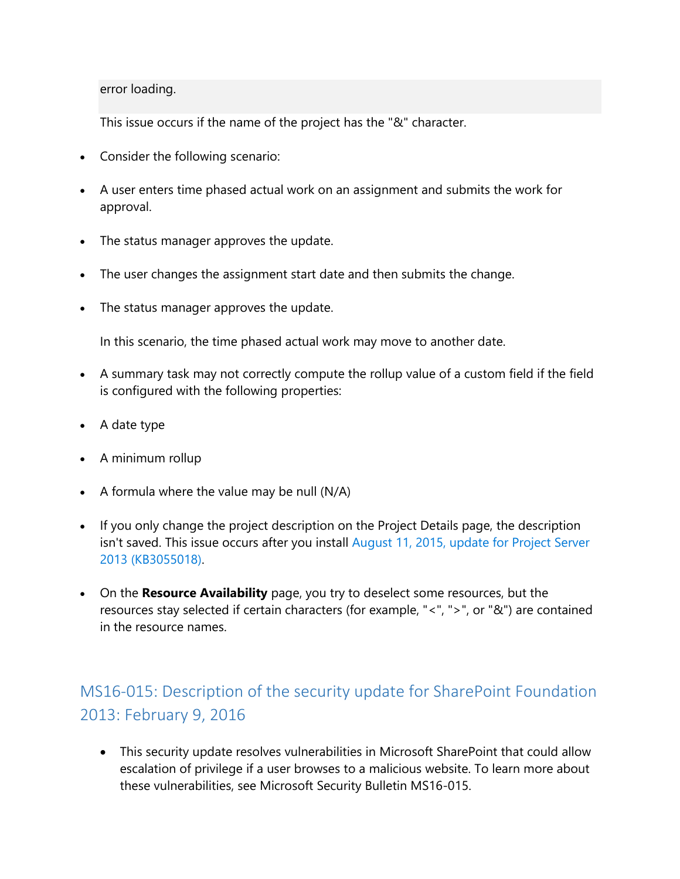error loading.

This issue occurs if the name of the project has the "&" character.

- Consider the following scenario:
- A user enters time phased actual work on an assignment and submits the work for approval.
- The status manager approves the update.
- The user changes the assignment start date and then submits the change.
- The status manager approves the update.

In this scenario, the time phased actual work may move to another date.

- A summary task may not correctly compute the rollup value of a custom field if the field is configured with the following properties:
- A date type
- A minimum rollup
- $\bullet$  A formula where the value may be null (N/A)
- If you only change the project description on the Project Details page, the description isn't saved. This issue occurs after you install August 11, 2015, update for Project Server [2013 \(KB3055018\).](http://support.microsoft.com/kb/3055018)
- On the **Resource Availability** page, you try to deselect some resources, but the resources stay selected if certain characters (for example, "<", ">", or "&") are contained in the resource names.

# <span id="page-5-0"></span>MS16-015: Description of the security update for SharePoint Foundation 2013: February 9, 2016

 This security update resolves vulnerabilities in Microsoft SharePoint that could allow escalation of privilege if a user browses to a malicious website. To learn more about these vulnerabilities, see Microsoft Security Bulletin MS16-015.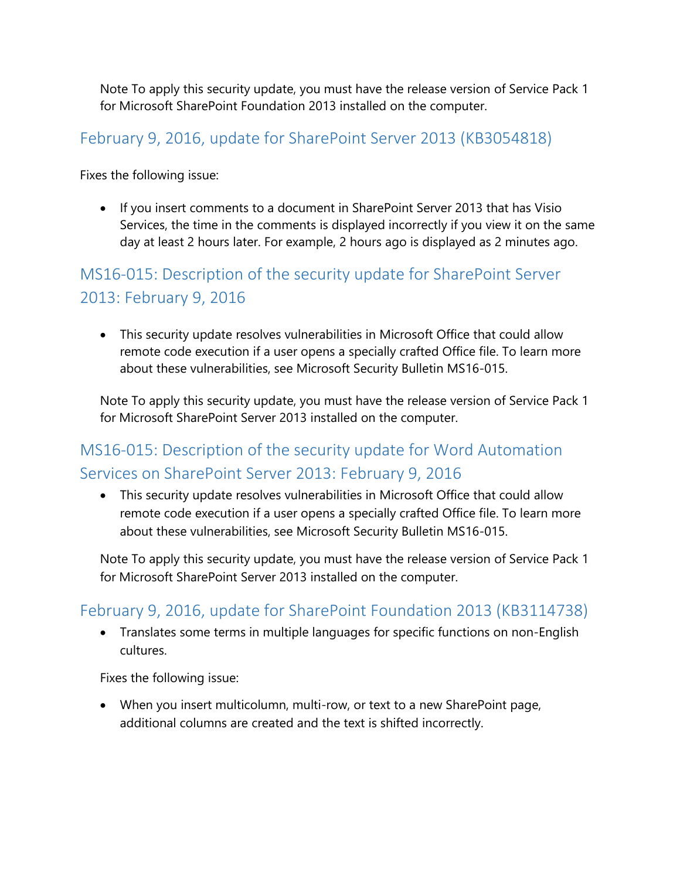Note To apply this security update, you must have the release version of Service Pack 1 for Microsoft SharePoint Foundation 2013 installed on the computer.

#### <span id="page-6-0"></span>February 9, 2016, update for SharePoint Server 2013 (KB3054818)

Fixes the following issue:

 If you insert comments to a document in SharePoint Server 2013 that has Visio Services, the time in the comments is displayed incorrectly if you view it on the same day at least 2 hours later. For example, 2 hours ago is displayed as 2 minutes ago.

# <span id="page-6-1"></span>MS16-015: Description of the security update for SharePoint Server 2013: February 9, 2016

 This security update resolves vulnerabilities in Microsoft Office that could allow remote code execution if a user opens a specially crafted Office file. To learn more about these vulnerabilities, see Microsoft Security Bulletin MS16-015.

Note To apply this security update, you must have the release version of Service Pack 1 for Microsoft SharePoint Server 2013 installed on the computer.

## <span id="page-6-2"></span>MS16-015: Description of the security update for Word Automation Services on SharePoint Server 2013: February 9, 2016

 This security update resolves vulnerabilities in Microsoft Office that could allow remote code execution if a user opens a specially crafted Office file. To learn more about these vulnerabilities, see Microsoft Security Bulletin MS16-015.

Note To apply this security update, you must have the release version of Service Pack 1 for Microsoft SharePoint Server 2013 installed on the computer.

### <span id="page-6-3"></span>February 9, 2016, update for SharePoint Foundation 2013 (KB3114738)

 Translates some terms in multiple languages for specific functions on non-English cultures.

Fixes the following issue:

 When you insert multicolumn, multi-row, or text to a new SharePoint page, additional columns are created and the text is shifted incorrectly.